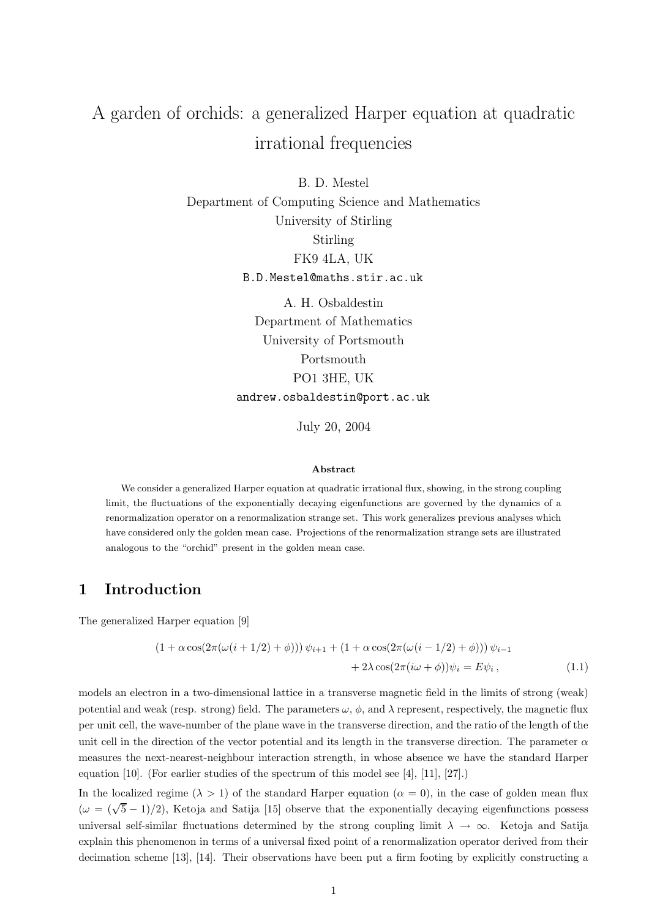# A garden of orchids: a generalized Harper equation at quadratic irrational frequencies

B. D. Mestel Department of Computing Science and Mathematics University of Stirling Stirling FK9 4LA, UK B.D.Mestel@maths.stir.ac.uk

> A. H. Osbaldestin Department of Mathematics University of Portsmouth Portsmouth PO1 3HE, UK andrew.osbaldestin@port.ac.uk

> > July 20, 2004

#### Abstract

We consider a generalized Harper equation at quadratic irrational flux, showing, in the strong coupling limit, the fluctuations of the exponentially decaying eigenfunctions are governed by the dynamics of a renormalization operator on a renormalization strange set. This work generalizes previous analyses which have considered only the golden mean case. Projections of the renormalization strange sets are illustrated analogous to the "orchid" present in the golden mean case.

## 1 Introduction

The generalized Harper equation [9]

$$
(1 + \alpha \cos(2\pi(\omega(i + 1/2) + \phi))) \psi_{i+1} + (1 + \alpha \cos(2\pi(\omega(i - 1/2) + \phi))) \psi_{i-1} + 2\lambda \cos(2\pi(i\omega + \phi)) \psi_i = E\psi_i,
$$
 (1.1)

models an electron in a two-dimensional lattice in a transverse magnetic field in the limits of strong (weak) potential and weak (resp. strong) field. The parameters  $\omega$ ,  $\phi$ , and  $\lambda$  represent, respectively, the magnetic flux per unit cell, the wave-number of the plane wave in the transverse direction, and the ratio of the length of the unit cell in the direction of the vector potential and its length in the transverse direction. The parameter  $\alpha$ measures the next-nearest-neighbour interaction strength, in whose absence we have the standard Harper equation [10]. (For earlier studies of the spectrum of this model see [4], [11], [27].)

In the localized regime ( $\lambda > 1$ ) of the standard Harper equation ( $\alpha = 0$ ), in the case of golden mean flux  $(\omega = (\sqrt{5} - 1)/2)$ , Ketoja and Satija [15] observe that the exponentially decaying eigenfunctions possess universal self-similar fluctuations determined by the strong coupling limit  $\lambda \to \infty$ . Ketoja and Satija explain this phenomenon in terms of a universal fixed point of a renormalization operator derived from their decimation scheme [13], [14]. Their observations have been put a firm footing by explicitly constructing a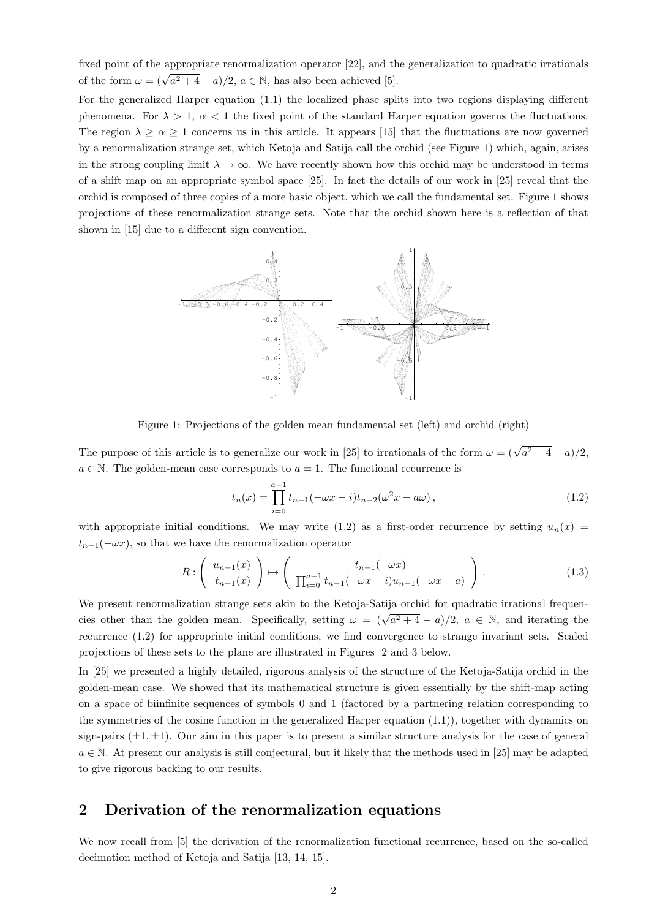fixed point of the appropriate renormalization operator [22], and the generalization to quadratic irrationals of the form  $\omega = (\sqrt{a^2 + 4} - a)/2$ ,  $a \in \mathbb{N}$ , has also been achieved [5].

For the generalized Harper equation (1.1) the localized phase splits into two regions displaying different phenomena. For  $\lambda > 1$ ,  $\alpha < 1$  the fixed point of the standard Harper equation governs the fluctuations. The region  $\lambda \ge \alpha \ge 1$  concerns us in this article. It appears [15] that the fluctuations are now governed by a renormalization strange set, which Ketoja and Satija call the orchid (see Figure 1) which, again, arises in the strong coupling limit  $\lambda \to \infty$ . We have recently shown how this orchid may be understood in terms of a shift map on an appropriate symbol space [25]. In fact the details of our work in [25] reveal that the orchid is composed of three copies of a more basic object, which we call the fundamental set. Figure 1 shows projections of these renormalization strange sets. Note that the orchid shown here is a reflection of that shown in [15] due to a different sign convention.



Figure 1: Projections of the golden mean fundamental set (left) and orchid (right)

The purpose of this article is to generalize our work in [25] to irrationals of the form  $\omega = (\sqrt{a^2 + 4} - a)/2$ ,  $a \in \mathbb{N}$ . The golden-mean case corresponds to  $a = 1$ . The functional recurrence is

$$
t_n(x) = \prod_{i=0}^{a-1} t_{n-1}(-\omega x - i)t_{n-2}(\omega^2 x + a\omega), \qquad (1.2)
$$

with appropriate initial conditions. We may write (1.2) as a first-order recurrence by setting  $u_n(x)$  =  $t_{n-1}(-\omega x)$ , so that we have the renormalization operator

$$
R: \left( \begin{array}{c} u_{n-1}(x) \\ t_{n-1}(x) \end{array} \right) \mapsto \left( \begin{array}{c} t_{n-1}(-\omega x) \\ \prod_{i=0}^{a-1} t_{n-1}(-\omega x - i)u_{n-1}(-\omega x - a) \end{array} \right). \tag{1.3}
$$

We present renormalization strange sets akin to the Ketoja-Satija orchid for quadratic irrational frequencies other than the golden mean. Specifically, setting  $\omega = (\sqrt{a^2 + 4} - a)/2$ ,  $a \in \mathbb{N}$ , and iterating the recurrence (1.2) for appropriate initial conditions, we find convergence to strange invariant sets. Scaled projections of these sets to the plane are illustrated in Figures 2 and 3 below.

In [25] we presented a highly detailed, rigorous analysis of the structure of the Ketoja-Satija orchid in the golden-mean case. We showed that its mathematical structure is given essentially by the shift-map acting on a space of biinfinite sequences of symbols 0 and 1 (factored by a partnering relation corresponding to the symmetries of the cosine function in the generalized Harper equation (1.1)), together with dynamics on sign-pairs  $(\pm 1, \pm 1)$ . Our aim in this paper is to present a similar structure analysis for the case of general  $a \in \mathbb{N}$ . At present our analysis is still conjectural, but it likely that the methods used in [25] may be adapted to give rigorous backing to our results.

## 2 Derivation of the renormalization equations

We now recall from [5] the derivation of the renormalization functional recurrence, based on the so-called decimation method of Ketoja and Satija [13, 14, 15].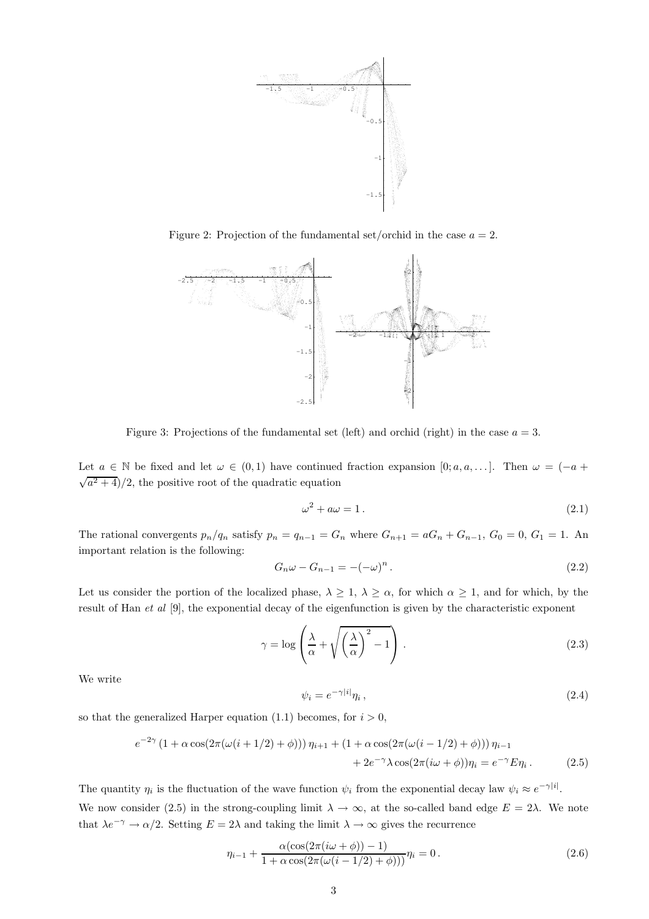

Figure 2: Projection of the fundamental set/orchid in the case  $a = 2$ .



Figure 3: Projections of the fundamental set (left) and orchid (right) in the case  $a = 3$ .

Let  $a \in \mathbb{N}$  be fixed and let  $\omega \in (0,1)$  have continued fraction expansion  $[0;a,a,\dots]$ . Then  $\omega = (-a +$  $\sqrt{a^2+4}$ /2, the positive root of the quadratic equation

$$
\omega^2 + a\omega = 1. \tag{2.1}
$$

The rational convergents  $p_n/q_n$  satisfy  $p_n = q_{n-1} = G_n$  where  $G_{n+1} = aG_n + G_{n-1}$ ,  $G_0 = 0$ ,  $G_1 = 1$ . An important relation is the following:

$$
G_n\omega - G_{n-1} = -(-\omega)^n.
$$
\n
$$
(2.2)
$$

Let us consider the portion of the localized phase,  $\lambda \geq 1$ ,  $\lambda \geq \alpha$ , for which  $\alpha \geq 1$ , and for which, by the result of Han et al [9], the exponential decay of the eigenfunction is given by the characteristic exponent

$$
\gamma = \log \left( \frac{\lambda}{\alpha} + \sqrt{\left(\frac{\lambda}{\alpha}\right)^2 - 1} \right). \tag{2.3}
$$

We write

$$
\psi_i = e^{-\gamma|i|} \eta_i \,,\tag{2.4}
$$

so that the generalized Harper equation (1.1) becomes, for  $i > 0$ ,

$$
e^{-2\gamma} (1 + \alpha \cos(2\pi(\omega(i + 1/2) + \phi))) \eta_{i+1} + (1 + \alpha \cos(2\pi(\omega(i - 1/2) + \phi))) \eta_{i-1} + 2e^{-\gamma} \lambda \cos(2\pi(i\omega + \phi)) \eta_i = e^{-\gamma} E \eta_i.
$$
 (2.5)

The quantity  $\eta_i$  is the fluctuation of the wave function  $\psi_i$  from the exponential decay law  $\psi_i \approx e^{-\gamma|i|}$ . We now consider (2.5) in the strong-coupling limit  $\lambda \to \infty$ , at the so-called band edge  $E = 2\lambda$ . We note that  $\lambda e^{-\gamma} \to \alpha/2$ . Setting  $E = 2\lambda$  and taking the limit  $\lambda \to \infty$  gives the recurrence

$$
\eta_{i-1} + \frac{\alpha(\cos(2\pi(i\omega + \phi)) - 1)}{1 + \alpha \cos(2\pi(\omega(i - 1/2) + \phi)))} \eta_i = 0.
$$
\n(2.6)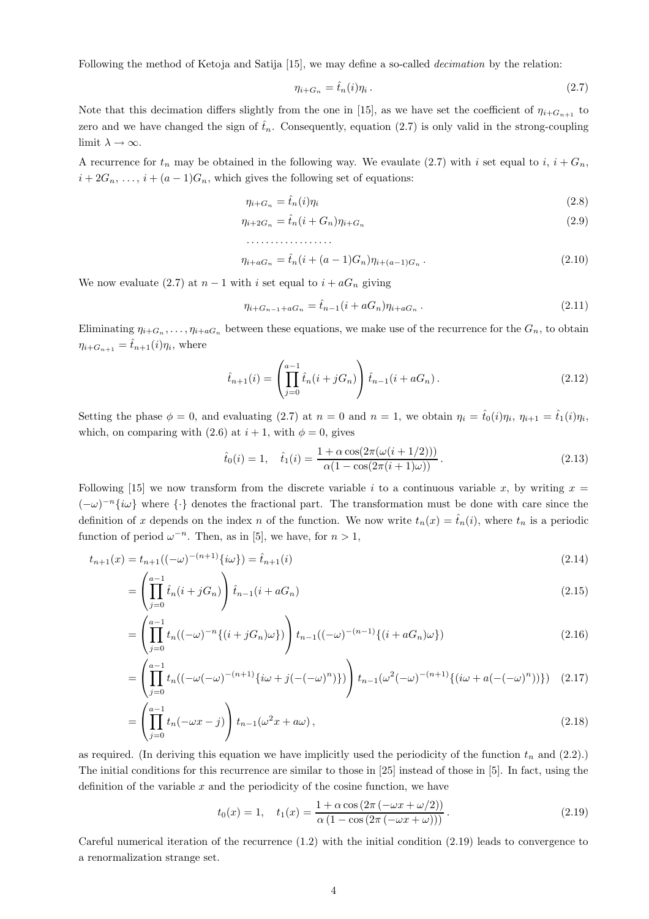Following the method of Ketoja and Satija [15], we may define a so-called decimation by the relation:

$$
\eta_{i+G_n} = \hat{t}_n(i)\eta_i. \tag{2.7}
$$

Note that this decimation differs slightly from the one in [15], as we have set the coefficient of  $\eta_{i+G_{n+1}}$  to zero and we have changed the sign of  $\hat{t}_n$ . Consequently, equation (2.7) is only valid in the strong-coupling limit  $\lambda \to \infty$ .

A recurrence for  $t_n$  may be obtained in the following way. We evaulate (2.7) with i set equal to i,  $i + G_n$ ,  $i + 2G_n, \ldots, i + (a-1)G_n$ , which gives the following set of equations:

$$
\eta_{i+G_n} = \hat{t}_n(i)\eta_i \tag{2.8}
$$

$$
\eta_{i+2G_n} = \hat{t}_n (i + G_n) \eta_{i+G_n} \tag{2.9}
$$

$$
\ldots \ldots \ldots \ldots \ldots
$$

$$
\eta_{i+aG_n} = \hat{t}_n (i + (a-1)G_n) \eta_{i+(a-1)G_n} . \tag{2.10}
$$

We now evaluate (2.7) at  $n-1$  with i set equal to  $i + aG_n$  giving

$$
\eta_{i+G_{n-1}+aG_n} = \hat{t}_{n-1}(i+aG_n)\eta_{i+aG_n} \,. \tag{2.11}
$$

Eliminating  $\eta_{i+G_n},\ldots,\eta_{i+aG_n}$  between these equations, we make use of the recurrence for the  $G_n$ , to obtain  $\eta_{i+G_{n+1}} = \hat{t}_{n+1}(i)\eta_i$ , where

$$
\hat{t}_{n+1}(i) = \left(\prod_{j=0}^{a-1} \hat{t}_n(i+jG_n)\right) \hat{t}_{n-1}(i+aG_n). \tag{2.12}
$$

Setting the phase  $\phi = 0$ , and evaluating (2.7) at  $n = 0$  and  $n = 1$ , we obtain  $\eta_i = \hat{t}_0(i)\eta_i$ ,  $\eta_{i+1} = \hat{t}_1(i)\eta_i$ , which, on comparing with (2.6) at  $i + 1$ , with  $\phi = 0$ , gives

$$
\hat{t}_0(i) = 1, \quad \hat{t}_1(i) = \frac{1 + \alpha \cos(2\pi(\omega(i + 1/2)))}{\alpha(1 - \cos(2\pi(i + 1)\omega))}.
$$
\n(2.13)

Following [15] we now transform from the discrete variable i to a continuous variable x, by writing  $x =$  $(-\omega)^{-n} \{i\omega\}$  where  $\{\cdot\}$  denotes the fractional part. The transformation must be done with care since the definition of x depends on the index n of the function. We now write  $t_n(x) = \hat{t}_n(i)$ , where  $t_n$  is a periodic function of period  $\omega^{-n}$ . Then, as in [5], we have, for  $n > 1$ ,

$$
t_{n+1}(x) = t_{n+1}((-\omega)^{-(n+1)}\{i\omega\}) = \hat{t}_{n+1}(i)
$$
\n(2.14)

$$
= \left(\prod_{j=0}^{a-1} \hat{t}_n(i+jG_n)\right) \hat{t}_{n-1}(i+aG_n) \tag{2.15}
$$

$$
= \left(\prod_{j=0}^{a-1} t_n((-\omega)^{-n}\{(i+jG_n)\omega\})\right) t_{n-1}((-\omega)^{-(n-1)}\{(i+aG_n)\omega\})
$$
\n(2.16)

$$
= \left( \prod_{j=0}^{a-1} t_n ((-\omega(-\omega)^{-(n+1)} \{i\omega + j(-(-\omega)^n)\}) \right) t_{n-1} (\omega^2 (-\omega)^{-(n+1)} \{ (i\omega + a(-(-\omega)^n)) \}) \quad (2.17)
$$

$$
= \left(\prod_{j=0}^{a-1} t_n(-\omega x - j)\right) t_{n-1}(\omega^2 x + a\omega), \tag{2.18}
$$

as required. (In deriving this equation we have implicitly used the periodicity of the function  $t_n$  and (2.2).) The initial conditions for this recurrence are similar to those in [25] instead of those in [5]. In fact, using the definition of the variable  $x$  and the periodicity of the cosine function, we have

$$
t_0(x) = 1, \quad t_1(x) = \frac{1 + \alpha \cos(2\pi(-\omega x + \omega/2))}{\alpha(1 - \cos(2\pi(-\omega x + \omega)))}.
$$
 (2.19)

Careful numerical iteration of the recurrence (1.2) with the initial condition (2.19) leads to convergence to a renormalization strange set.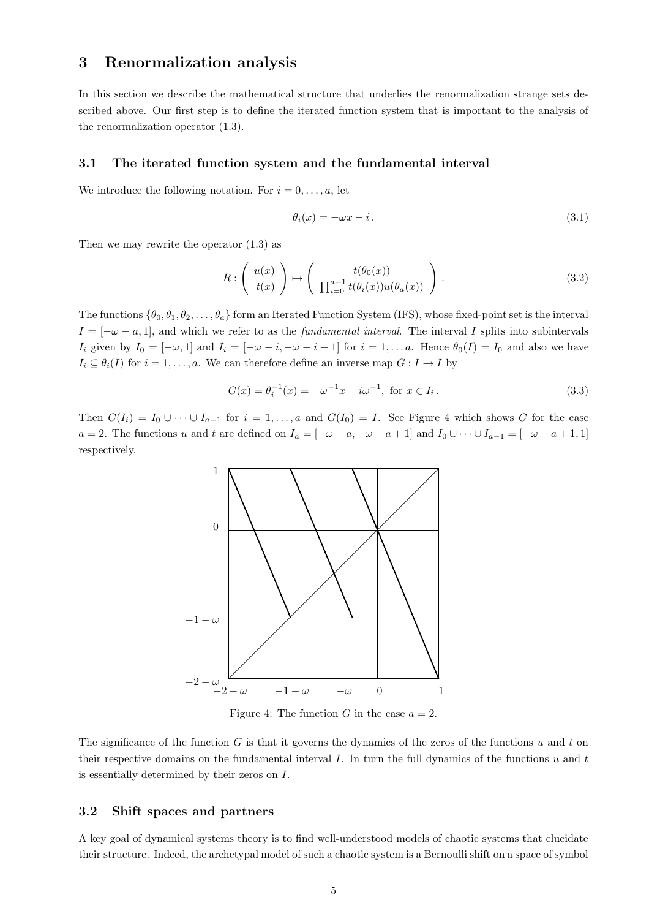## 3 Renormalization analysis

In this section we describe the mathematical structure that underlies the renormalization strange sets described above. Our first step is to define the iterated function system that is important to the analysis of the renormalization operator (1.3).

#### 3.1 The iterated function system and the fundamental interval

We introduce the following notation. For  $i = 0, \ldots, a$ , let

$$
\theta_i(x) = -\omega x - i. \tag{3.1}
$$

Then we may rewrite the operator (1.3) as

$$
R: \left(\begin{array}{c}u(x)\\t(x)\end{array}\right) \mapsto \left(\begin{array}{c}t(\theta_0(x))\\ \prod_{i=0}^{a-1}t(\theta_i(x))u(\theta_a(x))\end{array}\right).
$$
\n(3.2)

The functions  $\{\theta_0, \theta_1, \theta_2, \dots, \theta_a\}$  form an Iterated Function System (IFS), whose fixed-point set is the interval  $I = [-\omega - a, 1]$ , and which we refer to as the *fundamental interval*. The interval I splits into subintervals I<sub>i</sub> given by  $I_0 = [-\omega, 1]$  and  $I_i = [-\omega - i, -\omega - i + 1]$  for  $i = 1, \dots a$ . Hence  $\theta_0(I) = I_0$  and also we have  $I_i \subseteq \theta_i(I)$  for  $i = 1, \ldots, a$ . We can therefore define an inverse map  $G : I \to I$  by

$$
G(x) = \theta_i^{-1}(x) = -\omega^{-1}x - i\omega^{-1}, \text{ for } x \in I_i.
$$
 (3.3)

Then  $G(I_i) = I_0 \cup \cdots \cup I_{a-1}$  for  $i = 1, \ldots, a$  and  $G(I_0) = I$ . See Figure 4 which shows G for the case  $a = 2$ . The functions u and t are defined on  $I_a = [-\omega - a, -\omega - a + 1]$  and  $I_0 \cup \cdots \cup I_{a-1} = [-\omega - a + 1, 1]$ respectively.



Figure 4: The function G in the case  $a = 2$ .

The significance of the function  $G$  is that it governs the dynamics of the zeros of the functions  $u$  and  $t$  on their respective domains on the fundamental interval  $I$ . In turn the full dynamics of the functions  $u$  and  $t$ is essentially determined by their zeros on I.

#### 3.2 Shift spaces and partners

A key goal of dynamical systems theory is to find well-understood models of chaotic systems that elucidate their structure. Indeed, the archetypal model of such a chaotic system is a Bernoulli shift on a space of symbol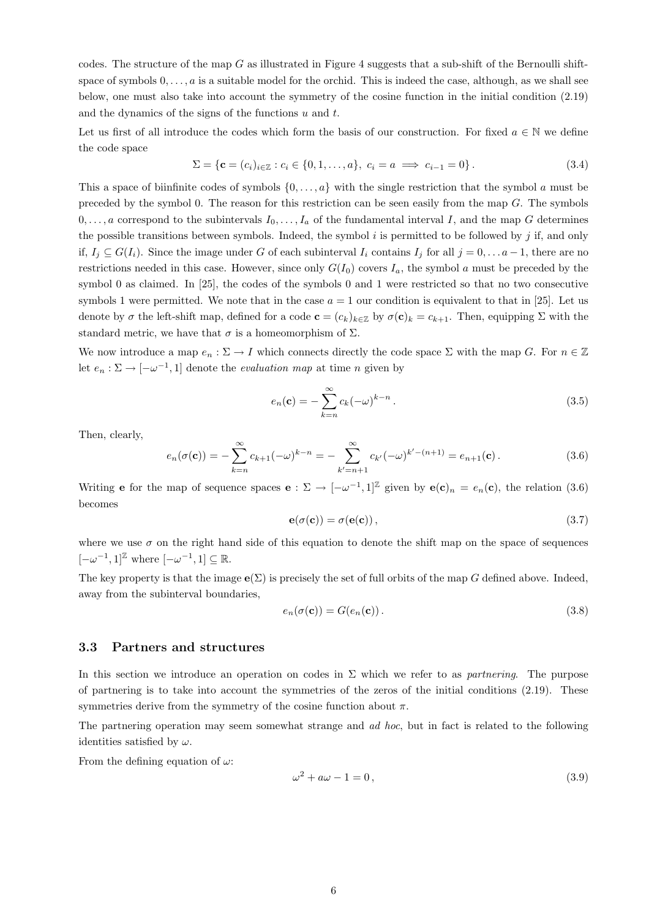codes. The structure of the map  $G$  as illustrated in Figure 4 suggests that a sub-shift of the Bernoulli shiftspace of symbols  $0, \ldots, a$  is a suitable model for the orchid. This is indeed the case, although, as we shall see below, one must also take into account the symmetry of the cosine function in the initial condition (2.19) and the dynamics of the signs of the functions  $u$  and  $t$ .

Let us first of all introduce the codes which form the basis of our construction. For fixed  $a \in \mathbb{N}$  we define the code space

$$
\Sigma = \{ \mathbf{c} = (c_i)_{i \in \mathbb{Z}} : c_i \in \{0, 1, \dots, a\}, \ c_i = a \implies c_{i-1} = 0 \}.
$$
 (3.4)

This a space of biinfinite codes of symbols  $\{0, \ldots, a\}$  with the single restriction that the symbol a must be preceded by the symbol 0. The reason for this restriction can be seen easily from the map  $G$ . The symbols  $0, \ldots, a$  correspond to the subintervals  $I_0, \ldots, I_a$  of the fundamental interval I, and the map G determines the possible transitions between symbols. Indeed, the symbol  $i$  is permitted to be followed by  $j$  if, and only if,  $I_j \subseteq G(I_i)$ . Since the image under G of each subinterval  $I_i$  contains  $I_j$  for all  $j = 0, \ldots a-1$ , there are no restrictions needed in this case. However, since only  $G(I_0)$  covers  $I_a$ , the symbol a must be preceded by the symbol 0 as claimed. In [25], the codes of the symbols 0 and 1 were restricted so that no two consecutive symbols 1 were permitted. We note that in the case  $a = 1$  our condition is equivalent to that in [25]. Let us denote by  $\sigma$  the left-shift map, defined for a code  $\mathbf{c} = (c_k)_{k \in \mathbb{Z}}$  by  $\sigma(\mathbf{c})_k = c_{k+1}$ . Then, equipping  $\Sigma$  with the standard metric, we have that  $\sigma$  is a homeomorphism of  $\Sigma$ .

We now introduce a map  $e_n : \Sigma \to I$  which connects directly the code space  $\Sigma$  with the map G. For  $n \in \mathbb{Z}$ let  $e_n : \Sigma \to [-\omega^{-1}, 1]$  denote the *evaluation map* at time *n* given by

$$
e_n(\mathbf{c}) = -\sum_{k=n}^{\infty} c_k (-\omega)^{k-n} . \tag{3.5}
$$

Then, clearly,

$$
e_n(\sigma(\mathbf{c})) = -\sum_{k=n}^{\infty} c_{k+1}(-\omega)^{k-n} = -\sum_{k'=n+1}^{\infty} c_{k'}(-\omega)^{k'- (n+1)} = e_{n+1}(\mathbf{c}). \tag{3.6}
$$

Writing **e** for the map of sequence spaces **e** :  $\Sigma \to [-\omega^{-1}, 1]^{\mathbb{Z}}$  given by **e**(**c**)<sub>n</sub> =  $e_n$ (**c**), the relation (3.6) becomes

$$
\mathbf{e}(\sigma(\mathbf{c})) = \sigma(\mathbf{e}(\mathbf{c})),\tag{3.7}
$$

where we use  $\sigma$  on the right hand side of this equation to denote the shift map on the space of sequences  $[-\omega^{-1}, 1]^{\mathbb{Z}}$  where  $[-\omega^{-1}, 1] \subseteq \mathbb{R}$ .

The key property is that the image  $e(\Sigma)$  is precisely the set of full orbits of the map G defined above. Indeed, away from the subinterval boundaries,

$$
e_n(\sigma(\mathbf{c})) = G(e_n(\mathbf{c}))\,. \tag{3.8}
$$

#### 3.3 Partners and structures

In this section we introduce an operation on codes in  $\Sigma$  which we refer to as *partnering*. The purpose of partnering is to take into account the symmetries of the zeros of the initial conditions (2.19). These symmetries derive from the symmetry of the cosine function about  $\pi$ .

The partnering operation may seem somewhat strange and *ad hoc*, but in fact is related to the following identities satisfied by  $\omega$ .

From the defining equation of  $\omega$ :

$$
\omega^2 + a\omega - 1 = 0,\tag{3.9}
$$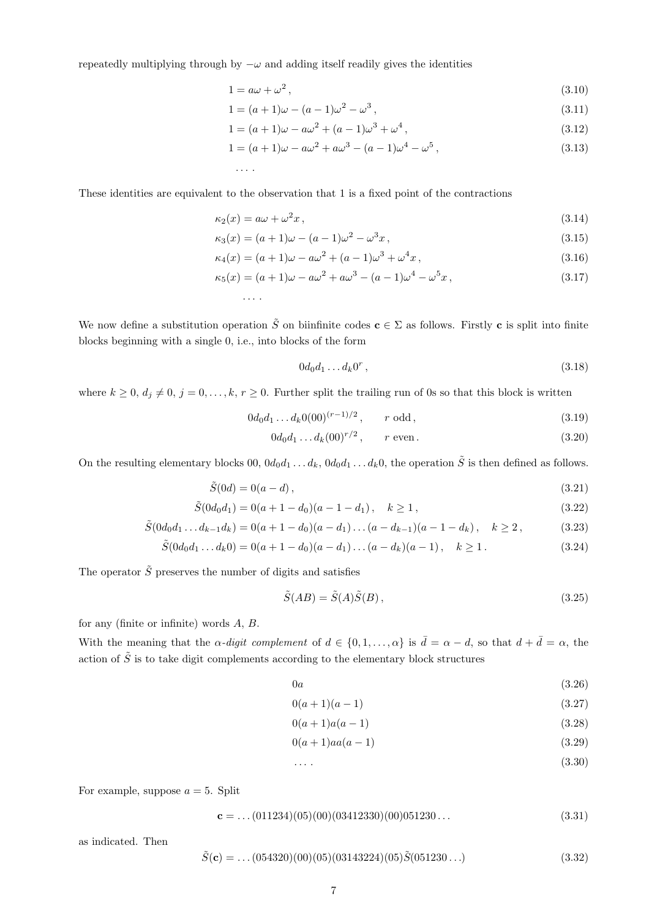repeatedly multiplying through by  $-\omega$  and adding itself readily gives the identities

. . . .

. . . .

$$
1 = a\omega + \omega^2, \tag{3.10}
$$

$$
1 = (a+1)\omega - (a-1)\omega^2 - \omega^3,
$$
\n(3.11)

$$
1 = (a+1)\omega - a\omega^2 + (a-1)\omega^3 + \omega^4,
$$
\n(3.12)

$$
1 = (a+1)\omega - a\omega^2 + a\omega^3 - (a-1)\omega^4 - \omega^5,
$$
\n(3.13)

These identities are equivalent to the observation that 1 is a fixed point of the contractions

$$
\kappa_2(x) = a\omega + \omega^2 x,\tag{3.14}
$$

$$
\kappa_3(x) = (a+1)\omega - (a-1)\omega^2 - \omega^3 x,
$$
\n(3.15)

$$
\kappa_4(x) = (a+1)\omega - a\omega^2 + (a-1)\omega^3 + \omega^4 x,\tag{3.16}
$$

$$
\kappa_5(x) = (a+1)\omega - a\omega^2 + a\omega^3 - (a-1)\omega^4 - \omega^5 x,
$$
\n(3.17)

We now define a substitution operation 
$$
\tilde{S}
$$
 on binfinite codes  $\mathbf{c} \in \Sigma$  as follows. Firstly **c** is split into finite blocks beginning with a single 0, i.e., into blocks of the form

$$
0d_0d_1 \dots d_k0^r, \tag{3.18}
$$

where  $k \geq 0$ ,  $d_j \neq 0$ ,  $j = 0, \ldots, k, r \geq 0$ . Further split the trailing run of 0s so that this block is written

$$
0d_0d_1 \dots d_k 0(00)^{(r-1)/2}, \qquad r \text{ odd}, \qquad (3.19)
$$

$$
0d_0d_1 \dots d_k(00)^{r/2}, \qquad r \text{ even}. \tag{3.20}
$$

On the resulting elementary blocks  $00, 0d_0d_1 \ldots d_k, 0d_0d_1 \ldots d_k0$ , the operation  $\tilde{S}$  is then defined as follows.

$$
\tilde{S}(0d) = 0(a-d),
$$
\n(3.21)

$$
\tilde{S}(0d_0d_1) = 0(a+1-d_0)(a-1-d_1), \quad k \ge 1,
$$
\n(3.22)

$$
\tilde{S}(0d_0d_1 \dots d_{k-1}d_k) = 0(a+1-d_0)(a-d_1)\dots(a-d_{k-1})(a-1-d_k), \quad k \ge 2, \tag{3.23}
$$

$$
\tilde{S}(0d_0d_1 \dots d_k0) = 0(a+1-d_0)(a-d_1)\dots(a-d_k)(a-1), \quad k \ge 1.
$$
\n(3.24)

The operator  $\tilde{S}$  preserves the number of digits and satisfies

$$
\tilde{S}(AB) = \tilde{S}(A)\tilde{S}(B),\tag{3.25}
$$

for any (finite or infinite) words A, B.

With the meaning that the  $\alpha$ -digit complement of  $d \in \{0, 1, \ldots, \alpha\}$  is  $\overline{d} = \alpha - d$ , so that  $d + \overline{d} = \alpha$ , the action of  $\tilde{S}$  is to take digit complements according to the elementary block structures

$$
0a \tag{3.26}
$$

$$
0(a+1)(a-1) \tag{3.27}
$$

$$
0(a+1)a(a-1) \tag{3.28}
$$

$$
0(a+1)aa(a-1)
$$
 (3.29)

$$
\ldots \, . \tag{3.30}
$$

For example, suppose  $a = 5$ . Split

$$
\mathbf{c} = \dots (011234)(05)(00)(03412330)(00)051230\dots \tag{3.31}
$$

as indicated. Then

$$
\tilde{S}(\mathbf{c}) = \dots (054320)(00)(05)(03143224)(05)\tilde{S}(051230\dots)
$$
\n(3.32)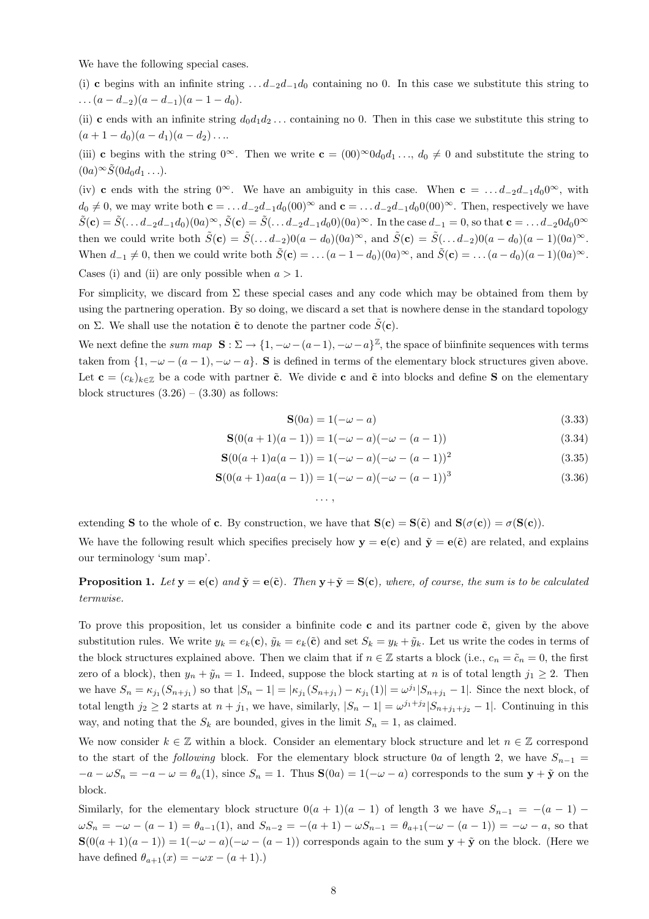We have the following special cases.

(i) c begins with an infinite string  $\dots d_{-2}d_{-1}d_0$  containing no 0. In this case we substitute this string to  $\ldots (a - d_{-2})(a - d_{-1})(a - 1 - d_0).$ 

(ii) c ends with an infinite string  $d_0d_1d_2...$  containing no 0. Then in this case we substitute this string to  $(a + 1 - d_0)(a - d_1)(a - d_2)...$ 

(iii) c begins with the string  $0^{\infty}$ . Then we write  $c = (00)^{\infty}0d_0d_1...$ ,  $d_0 \neq 0$  and substitute the string to  $(0a)^\infty \tilde{S}(0d_0d_1 \ldots).$ 

(iv) c ends with the string  $0^{\infty}$ . We have an ambiguity in this case. When  $c = ... d_{-2}d_{-1}d_00^{\infty}$ , with  $d_0 \neq 0$ , we may write both  $c = \ldots d_{-2}d_{-1}d_0(00)^\infty$  and  $c = \ldots d_{-2}d_{-1}d_00(00)^\infty$ . Then, respectively we have  $\tilde{S}(\mathbf{c}) = \tilde{S}(\ldots d_{-2}d_{-1}d_0)(0a)^\infty$ ,  $\tilde{S}(\mathbf{c}) = \tilde{S}(\ldots d_{-2}d_{-1}d_0)(0a)^\infty$ . In the case  $d_{-1} = 0$ , so that  $\mathbf{c} = \ldots d_{-2}0d_00^\infty$ then we could write both  $\tilde{S}(\mathbf{c}) = \tilde{S}(\ldots d_{-2})0(a - d_0)(0a)^\infty$ , and  $\tilde{S}(\mathbf{c}) = \tilde{S}(\ldots d_{-2})0(a - d_0)(a - 1)(0a)^\infty$ . When  $d_{-1} \neq 0$ , then we could write both  $\tilde{S}(\mathbf{c}) = \dots (a - 1 - d_0)(0a)^\infty$ , and  $\tilde{S}(\mathbf{c}) = \dots (a - d_0)(a - 1)(0a)^\infty$ . Cases (i) and (ii) are only possible when  $a > 1$ .

For simplicity, we discard from  $\Sigma$  these special cases and any code which may be obtained from them by using the partnering operation. By so doing, we discard a set that is nowhere dense in the standard topology on Σ. We shall use the notation  $\tilde{\mathbf{c}}$  to denote the partner code  $\tilde{S}(\mathbf{c})$ .

We next define the sum map  $S : \Sigma \to \{1, -\omega - (a-1), -\omega - a\}^{\mathbb{Z}}$ , the space of biinfinite sequences with terms taken from  $\{1, -\omega - (a-1), -\omega - a\}$ . S is defined in terms of the elementary block structures given above. Let  $\mathbf{c} = (c_k)_{k \in \mathbb{Z}}$  be a code with partner  $\tilde{\mathbf{c}}$ . We divide c and  $\tilde{\mathbf{c}}$  into blocks and define S on the elementary block structures  $(3.26) - (3.30)$  as follows:

$$
\mathbf{S}(0a) = 1(-\omega - a) \tag{3.33}
$$

$$
\mathbf{S}(0(a+1)(a-1)) = 1(-\omega - a)(-\omega - (a-1))
$$
\n(3.34)

$$
\mathbf{S}(0(a+1)a(a-1)) = 1(-\omega - a)(-\omega - (a-1))^2
$$
\n(3.35)

$$
\mathbf{S}(0(a+1)aa(a-1)) = 1(-\omega - a)(-\omega - (a-1))^3
$$
\n(3.36)

$$
\ldots,
$$

extending S to the whole of c. By construction, we have that  $S(c) = S(\tilde{c})$  and  $S(\sigma(c)) = \sigma(S(c))$ .

We have the following result which specifies precisely how  $y = e(c)$  and  $\tilde{y} = e(\tilde{c})$  are related, and explains our terminology 'sum map'.

**Proposition 1.** Let  $y = e(c)$  and  $\tilde{y} = e(\tilde{c})$ . Then  $y + \tilde{y} = S(c)$ , where, of course, the sum is to be calculated termwise.

To prove this proposition, let us consider a binfinite code c and its partner code  $\tilde{c}$ , given by the above substitution rules. We write  $y_k = e_k(c)$ ,  $\tilde{y}_k = e_k(\tilde{c})$  and set  $S_k = y_k + \tilde{y}_k$ . Let us write the codes in terms of the block structures explained above. Then we claim that if  $n \in \mathbb{Z}$  starts a block (i.e.,  $c_n = \tilde{c}_n = 0$ , the first zero of a block), then  $y_n + \tilde{y}_n = 1$ . Indeed, suppose the block starting at n is of total length  $j_1 \geq 2$ . Then we have  $S_n = \kappa_{j_1}(S_{n+j_1})$  so that  $|S_n - 1| = |\kappa_{j_1}(S_{n+j_1}) - \kappa_{j_1}(1)| = \omega^{j_1}|S_{n+j_1} - 1|$ . Since the next block, of total length  $j_2 \ge 2$  starts at  $n + j_1$ , we have, similarly,  $|S_n - 1| = \omega^{j_1 + j_2} |S_{n+j_1+j_2} - 1|$ . Continuing in this way, and noting that the  $S_k$  are bounded, gives in the limit  $S_n = 1$ , as claimed.

We now consider  $k \in \mathbb{Z}$  within a block. Consider an elementary block structure and let  $n \in \mathbb{Z}$  correspond to the start of the following block. For the elementary block structure 0a of length 2, we have  $S_{n-1}$  =  $-a - \omega S_n = -a - \omega = \theta_a(1)$ , since  $S_n = 1$ . Thus  $S(0a) = 1(-\omega - a)$  corresponds to the sum  $y + \tilde{y}$  on the block.

Similarly, for the elementary block structure  $0(a + 1)(a - 1)$  of length 3 we have  $S_{n-1} = -(a - 1)$  $\omega S_n = -\omega - (a-1) = \theta_{a-1}(1)$ , and  $S_{n-2} = -(a+1) - \omega S_{n-1} = \theta_{a+1}(-\omega - (a-1)) = -\omega - a$ , so that  $\mathbf{S}(0(a+1)(a-1)) = 1(-\omega - a)(-\omega - (a-1))$  corresponds again to the sum  $\mathbf{y} + \tilde{\mathbf{y}}$  on the block. (Here we have defined  $\theta_{a+1}(x) = -\omega x - (a+1)$ .)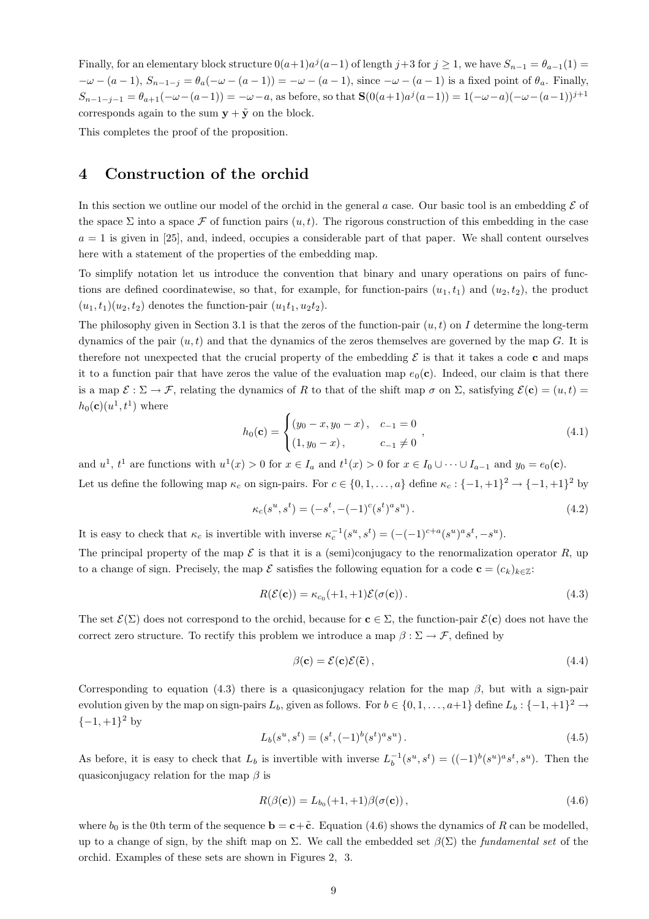Finally, for an elementary block structure  $0(a+1)a^j(a-1)$  of length  $j+3$  for  $j \ge 1$ , we have  $S_{n-1} = \theta_{a-1}(1)$  $-\omega - (a-1)$ ,  $S_{n-1-j} = \theta_a(-\omega - (a-1)) = -\omega - (a-1)$ , since  $-\omega - (a-1)$  is a fixed point of  $\theta_a$ . Finally,  $S_{n-1-j-1} = \theta_{a+1}(-\omega - (a-1)) = -\omega - a$ , as before, so that  $\mathbf{S}(0(a+1)a^j(a-1)) = 1(-\omega - a)(-\omega - (a-1))^{j+1}$ corresponds again to the sum  $y + \tilde{y}$  on the block.

This completes the proof of the proposition.

## 4 Construction of the orchid

In this section we outline our model of the orchid in the general a case. Our basic tool is an embedding  $\mathcal E$  of the space  $\Sigma$  into a space  $\mathcal F$  of function pairs  $(u,t)$ . The rigorous construction of this embedding in the case  $a = 1$  is given in [25], and, indeed, occupies a considerable part of that paper. We shall content ourselves here with a statement of the properties of the embedding map.

To simplify notation let us introduce the convention that binary and unary operations on pairs of functions are defined coordinatewise, so that, for example, for function-pairs  $(u_1,t_1)$  and  $(u_2,t_2)$ , the product  $(u_1,t_1)(u_2,t_2)$  denotes the function-pair  $(u_1t_1, u_2t_2)$ .

The philosophy given in Section 3.1 is that the zeros of the function-pair  $(u, t)$  on I determine the long-term dynamics of the pair  $(u,t)$  and that the dynamics of the zeros themselves are governed by the map G. It is therefore not unexpected that the crucial property of the embedding  $\mathcal E$  is that it takes a code c and maps it to a function pair that have zeros the value of the evaluation map  $e_0(c)$ . Indeed, our claim is that there is a map  $\mathcal{E} : \Sigma \to \mathcal{F}$ , relating the dynamics of R to that of the shift map  $\sigma$  on  $\Sigma$ , satisfying  $\mathcal{E}(\mathbf{c}) = (u,t)$  $h_0(\mathbf{c})(u^1, t^1)$  where

$$
h_0(\mathbf{c}) = \begin{cases} (y_0 - x, y_0 - x), & c_{-1} = 0 \\ (1, y_0 - x), & c_{-1} \neq 0 \end{cases},
$$
(4.1)

and  $u^1$ ,  $t^1$  are functions with  $u^1(x) > 0$  for  $x \in I_a$  and  $t^1(x) > 0$  for  $x \in I_0 \cup \cdots \cup I_{a-1}$  and  $y_0 = e_0(c)$ . Let us define the following map  $\kappa_c$  on sign-pairs. For  $c \in \{0, 1, ..., a\}$  define  $\kappa_c : \{-1, +1\}^2 \to \{-1, +1\}^2$  by

$$
\kappa_c(s^u, s^t) = (-s^t, -(-1)^c (s^t)^a s^u).
$$
\n(4.2)

It is easy to check that  $\kappa_c$  is invertible with inverse  $\kappa_c^{-1}(s^u, s^t) = (-(-1)^{c+a}(s^u)^a s^t, -s^u)$ .

The principal property of the map  $\mathcal E$  is that it is a (semi)conjugacy to the renormalization operator  $R$ , up to a change of sign. Precisely, the map  $\mathcal E$  satisfies the following equation for a code  $\mathbf c = (c_k)_{k \in \mathbb Z}$ :

$$
R(\mathcal{E}(\mathbf{c})) = \kappa_{c_0}(+1, +1)\mathcal{E}(\sigma(\mathbf{c})).
$$
\n(4.3)

The set  $\mathcal{E}(\Sigma)$  does not correspond to the orchid, because for  $c \in \Sigma$ , the function-pair  $\mathcal{E}(c)$  does not have the correct zero structure. To rectify this problem we introduce a map  $\beta : \Sigma \to \mathcal{F}$ , defined by

$$
\beta(\mathbf{c}) = \mathcal{E}(\mathbf{c})\mathcal{E}(\tilde{\mathbf{c}}),\tag{4.4}
$$

Corresponding to equation (4.3) there is a quasiconjugacy relation for the map  $\beta$ , but with a sign-pair evolution given by the map on sign-pairs  $L_b$ , given as follows. For  $b \in \{0, 1, \ldots, a+1\}$  define  $L_b: \{-1, +1\}^2 \to$  $\{-1,+1\}^2$  by

$$
L_b(s^u, s^t) = (s^t, (-1)^b (s^t)^a s^u).
$$
\n(4.5)

As before, it is easy to check that  $L_b$  is invertible with inverse  $L_b^{-1}(s^u, s^t) = ((-1)^b (s^u)^a s^t, s^u)$ . Then the quasiconjugacy relation for the map  $\beta$  is

$$
R(\beta(\mathbf{c})) = L_{b_0}(+1, +1)\beta(\sigma(\mathbf{c})),\tag{4.6}
$$

where  $b_0$  is the 0th term of the sequence  $\mathbf{b} = \mathbf{c} + \tilde{\mathbf{c}}$ . Equation (4.6) shows the dynamics of R can be modelled, up to a change of sign, by the shift map on  $\Sigma$ . We call the embedded set  $\beta(\Sigma)$  the *fundamental set* of the orchid. Examples of these sets are shown in Figures 2, 3.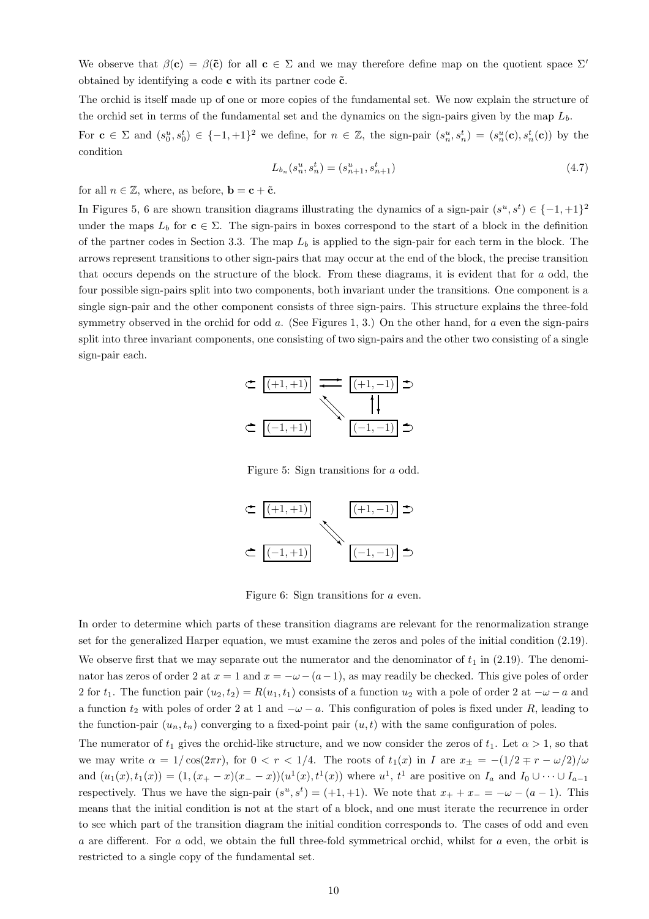We observe that  $\beta(c) = \beta(\tilde{c})$  for all  $c \in \Sigma$  and we may therefore define map on the quotient space  $\Sigma'$ obtained by identifying a code  $\mathbf c$  with its partner code  $\tilde{\mathbf c}$ .

The orchid is itself made up of one or more copies of the fundamental set. We now explain the structure of the orchid set in terms of the fundamental set and the dynamics on the sign-pairs given by the map  $L<sub>b</sub>$ .

For  $\mathbf{c} \in \Sigma$  and  $(s_0^u, s_0^t) \in \{-1, +1\}^2$  we define, for  $n \in \mathbb{Z}$ , the sign-pair  $(s_n^u, s_n^t) = (s_n^u(\mathbf{c}), s_n^t(\mathbf{c}))$  by the condition

$$
L_{b_n}(s_n^u, s_n^t) = (s_{n+1}^u, s_{n+1}^t)
$$
\n(4.7)

for all  $n \in \mathbb{Z}$ , where, as before,  $\mathbf{b} = \mathbf{c} + \tilde{\mathbf{c}}$ .

In Figures 5, 6 are shown transition diagrams illustrating the dynamics of a sign-pair  $(s^u, s^t) \in \{-1, +1\}^2$ under the maps  $L_b$  for  $c \in \Sigma$ . The sign-pairs in boxes correspond to the start of a block in the definition of the partner codes in Section 3.3. The map  $L_b$  is applied to the sign-pair for each term in the block. The arrows represent transitions to other sign-pairs that may occur at the end of the block, the precise transition that occurs depends on the structure of the block. From these diagrams, it is evident that for a odd, the four possible sign-pairs split into two components, both invariant under the transitions. One component is a single sign-pair and the other component consists of three sign-pairs. This structure explains the three-fold symmetry observed in the orchid for odd  $a$ . (See Figures 1, 3.) On the other hand, for  $a$  even the sign-pairs split into three invariant components, one consisting of two sign-pairs and the other two consisting of a single sign-pair each.



Figure 5: Sign transitions for a odd.



Figure 6: Sign transitions for a even.

In order to determine which parts of these transition diagrams are relevant for the renormalization strange set for the generalized Harper equation, we must examine the zeros and poles of the initial condition (2.19).

We observe first that we may separate out the numerator and the denominator of  $t_1$  in (2.19). The denominator has zeros of order 2 at  $x = 1$  and  $x = -\omega - (a-1)$ , as may readily be checked. This give poles of order 2 for  $t_1$ . The function pair  $(u_2,t_2) = R(u_1,t_1)$  consists of a function  $u_2$  with a pole of order 2 at  $-\omega - a$  and a function  $t_2$  with poles of order 2 at 1 and  $-\omega - a$ . This configuration of poles is fixed under R, leading to the function-pair  $(u_n, t_n)$  converging to a fixed-point pair  $(u, t)$  with the same configuration of poles.

The numerator of  $t_1$  gives the orchid-like structure, and we now consider the zeros of  $t_1$ . Let  $\alpha > 1$ , so that we may write  $\alpha = 1/\cos(2\pi r)$ , for  $0 < r < 1/4$ . The roots of  $t_1(x)$  in I are  $x_{\pm} = -(1/2 \mp r - \omega/2)/\omega$ and  $(u_1(x), t_1(x)) = (1, (x_+ - x)(x_- - x))(u^1(x), t^1(x))$  where  $u^1$ ,  $t^1$  are positive on  $I_a$  and  $I_0 \cup \cdots \cup I_{a-1}$ respectively. Thus we have the sign-pair  $(s^u, s^t) = (+1, +1)$ . We note that  $x_+ + x_- = -\omega - (a-1)$ . This means that the initial condition is not at the start of a block, and one must iterate the recurrence in order to see which part of the transition diagram the initial condition corresponds to. The cases of odd and even a are different. For a odd, we obtain the full three-fold symmetrical orchid, whilst for a even, the orbit is restricted to a single copy of the fundamental set.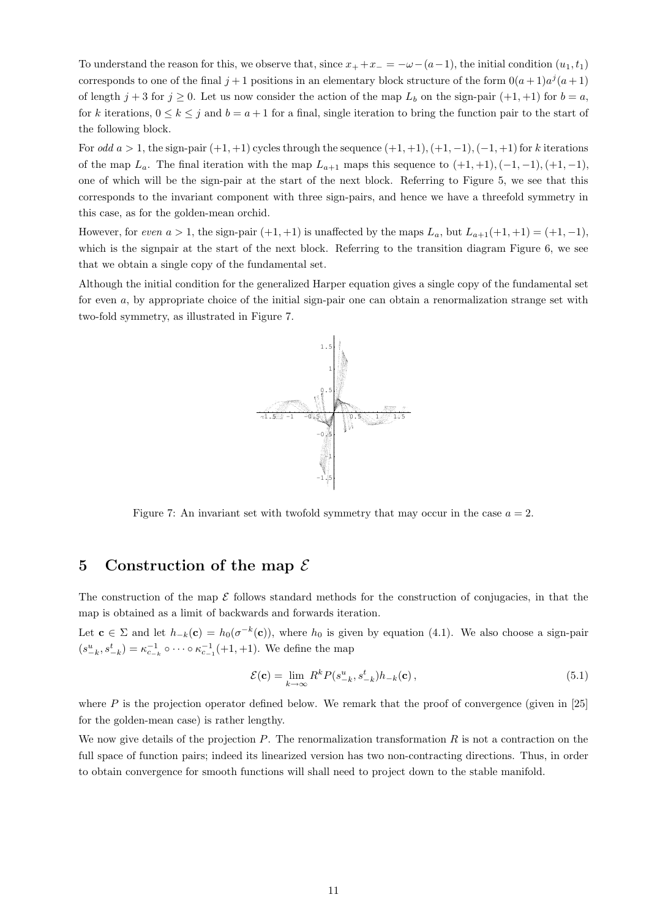To understand the reason for this, we observe that, since  $x_+ + x_- = -\omega - (a-1)$ , the initial condition  $(u_1, t_1)$ corresponds to one of the final  $j+1$  positions in an elementary block structure of the form  $0(a+1)a^j(a+1)$ of length  $j + 3$  for  $j \ge 0$ . Let us now consider the action of the map  $L_b$  on the sign-pair  $(+1, +1)$  for  $b = a$ , for k iterations,  $0 \le k \le j$  and  $b = a + 1$  for a final, single iteration to bring the function pair to the start of the following block.

For odd  $a > 1$ , the sign-pair  $(+1, +1)$  cycles through the sequence  $(+1, +1), (+1, -1), (-1, +1)$  for k iterations of the map  $L_a$ . The final iteration with the map  $L_{a+1}$  maps this sequence to  $(+1, +1), (-1, -1), (+1, -1)$ , one of which will be the sign-pair at the start of the next block. Referring to Figure 5, we see that this corresponds to the invariant component with three sign-pairs, and hence we have a threefold symmetry in this case, as for the golden-mean orchid.

However, for even  $a > 1$ , the sign-pair  $(+1, +1)$  is unaffected by the maps  $L_a$ , but  $L_{a+1}(+1, +1) = (+1, -1)$ , which is the signpair at the start of the next block. Referring to the transition diagram Figure 6, we see that we obtain a single copy of the fundamental set.

Although the initial condition for the generalized Harper equation gives a single copy of the fundamental set for even a, by appropriate choice of the initial sign-pair one can obtain a renormalization strange set with two-fold symmetry, as illustrated in Figure 7.



Figure 7: An invariant set with twofold symmetry that may occur in the case  $a = 2$ .

## 5 Construction of the map  $\mathcal E$

The construction of the map  $\mathcal E$  follows standard methods for the construction of conjugacies, in that the map is obtained as a limit of backwards and forwards iteration.

Let  $\mathbf{c} \in \Sigma$  and let  $h_{-k}(\mathbf{c}) = h_0(\sigma^{-k}(\mathbf{c}))$ , where  $h_0$  is given by equation (4.1). We also choose a sign-pair  $(s_{-k}^u, s_{-k}^t) = \kappa_{c_{-k}}^{-1} \circ \cdots \circ \kappa_{c_{-1}}^{-1}(+1, +1)$ . We define the map

$$
\mathcal{E}(\mathbf{c}) = \lim_{k \to \infty} R^k P(s_{-k}^u, s_{-k}^t) h_{-k}(\mathbf{c}), \qquad (5.1)
$$

where  $P$  is the projection operator defined below. We remark that the proof of convergence (given in [25] for the golden-mean case) is rather lengthy.

We now give details of the projection  $P$ . The renormalization transformation  $R$  is not a contraction on the full space of function pairs; indeed its linearized version has two non-contracting directions. Thus, in order to obtain convergence for smooth functions will shall need to project down to the stable manifold.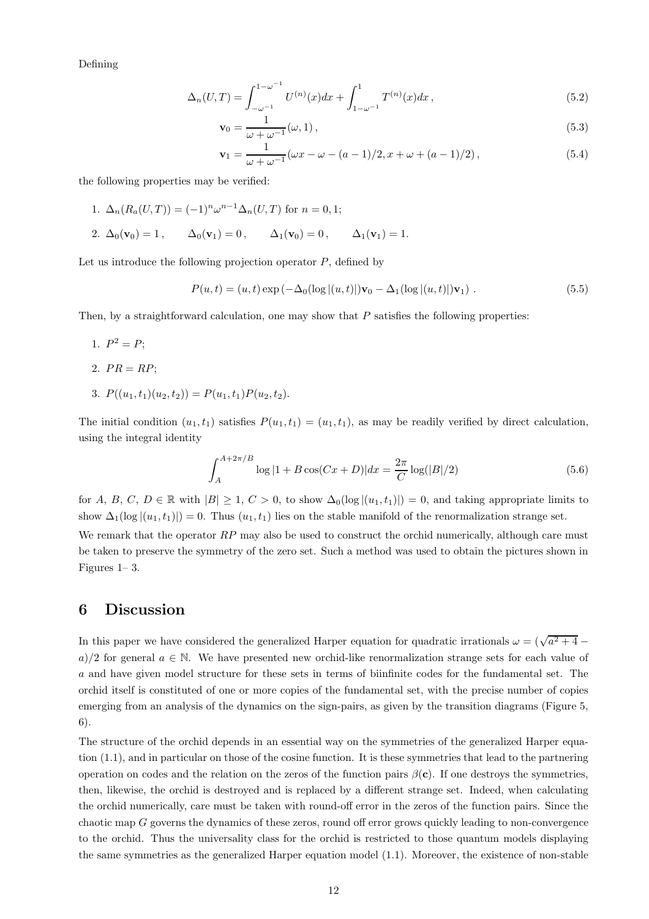Defining

$$
\Delta_n(U,T) = \int_{-\omega^{-1}}^{1-\omega^{-1}} U^{(n)}(x)dx + \int_{1-\omega^{-1}}^{1} T^{(n)}(x)dx,
$$
\n(5.2)

$$
\mathbf{v}_0 = \frac{1}{\omega + \omega^{-1}} (\omega, 1),\tag{5.3}
$$

$$
\mathbf{v}_1 = \frac{1}{\omega + \omega^{-1}} (\omega x - \omega - (a - 1)/2, x + \omega + (a - 1)/2), \tag{5.4}
$$

the following properties may be verified:

- 1.  $\Delta_n(R_a(U,T)) = (-1)^n \omega^{n-1} \Delta_n(U,T)$  for  $n = 0, 1$ ;
- 2.  $\Delta_0(\mathbf{v}_0) = 1$ ,  $\Delta_0(\mathbf{v}_1) = 0$ ,  $\Delta_1(\mathbf{v}_0) = 0$ ,  $\Delta_1(\mathbf{v}_1) = 1$ .

Let us introduce the following projection operator  $P$ , defined by

$$
P(u,t) = (u,t) \exp(-\Delta_0(\log|(u,t)|)\mathbf{v}_0 - \Delta_1(\log|(u,t)|)\mathbf{v}_1).
$$
 (5.5)

Then, by a straightforward calculation, one may show that  $P$  satisfies the following properties:

- 1.  $P^2 = P$ ;
- 2.  $PR = RP$
- 3.  $P((u_1,t_1)(u_2,t_2)) = P(u_1,t_1)P(u_2,t_2).$

The initial condition  $(u_1,t_1)$  satisfies  $P(u_1,t_1) = (u_1,t_1)$ , as may be readily verified by direct calculation, using the integral identity

$$
\int_{A}^{A+2\pi/B} \log|1 + B\cos(Cx + D)| dx = \frac{2\pi}{C} \log(|B|/2)
$$
\n(5.6)

for A, B, C, D E R with  $|B| \geq 1$ ,  $C > 0$ , to show  $\Delta_0(\log |(u_1, t_1)|) = 0$ , and taking appropriate limits to show  $\Delta_1(\log |(u_1,t_1)|) = 0$ . Thus  $(u_1,t_1)$  lies on the stable manifold of the renormalization strange set. We remark that the operator  $RP$  may also be used to construct the orchid numerically, although care must be taken to preserve the symmetry of the zero set. Such a method was used to obtain the pictures shown in Figures 1– 3.

### 6 Discussion

In this paper we have considered the generalized Harper equation for quadratic irrationals  $\omega = (\sqrt{a^2 + 4}$ a)/2 for general  $a \in \mathbb{N}$ . We have presented new orchid-like renormalization strange sets for each value of a and have given model structure for these sets in terms of biinfinite codes for the fundamental set. The orchid itself is constituted of one or more copies of the fundamental set, with the precise number of copies emerging from an analysis of the dynamics on the sign-pairs, as given by the transition diagrams (Figure 5, 6).

The structure of the orchid depends in an essential way on the symmetries of the generalized Harper equation (1.1), and in particular on those of the cosine function. It is these symmetries that lead to the partnering operation on codes and the relation on the zeros of the function pairs  $\beta(c)$ . If one destroys the symmetries, then, likewise, the orchid is destroyed and is replaced by a different strange set. Indeed, when calculating the orchid numerically, care must be taken with round-off error in the zeros of the function pairs. Since the chaotic map G governs the dynamics of these zeros, round off error grows quickly leading to non-convergence to the orchid. Thus the universality class for the orchid is restricted to those quantum models displaying the same symmetries as the generalized Harper equation model (1.1). Moreover, the existence of non-stable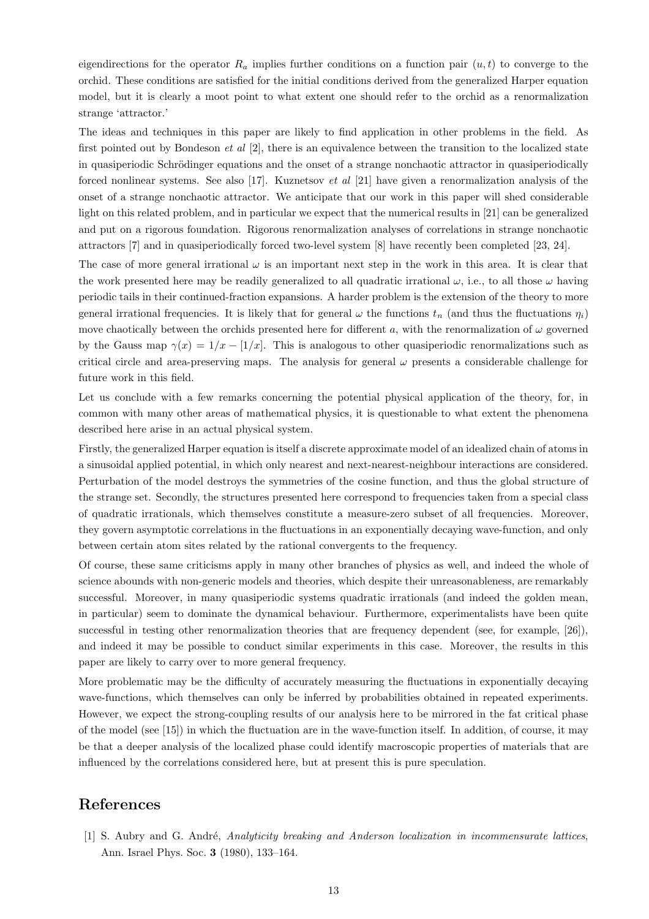eigendirections for the operator  $R_a$  implies further conditions on a function pair  $(u,t)$  to converge to the orchid. These conditions are satisfied for the initial conditions derived from the generalized Harper equation model, but it is clearly a moot point to what extent one should refer to the orchid as a renormalization strange 'attractor.'

The ideas and techniques in this paper are likely to find application in other problems in the field. As first pointed out by Bondeson *et al*  $[2]$ , there is an equivalence between the transition to the localized state in quasiperiodic Schrödinger equations and the onset of a strange nonchaotic attractor in quasiperiodically forced nonlinear systems. See also [17]. Kuznetsov et al [21] have given a renormalization analysis of the onset of a strange nonchaotic attractor. We anticipate that our work in this paper will shed considerable light on this related problem, and in particular we expect that the numerical results in [21] can be generalized and put on a rigorous foundation. Rigorous renormalization analyses of correlations in strange nonchaotic attractors [7] and in quasiperiodically forced two-level system [8] have recently been completed [23, 24].

The case of more general irrational  $\omega$  is an important next step in the work in this area. It is clear that the work presented here may be readily generalized to all quadratic irrational  $\omega$ , i.e., to all those  $\omega$  having periodic tails in their continued-fraction expansions. A harder problem is the extension of the theory to more general irrational frequencies. It is likely that for general  $\omega$  the functions  $t_n$  (and thus the fluctuations  $\eta_i$ ) move chaotically between the orchids presented here for different a, with the renormalization of  $\omega$  governed by the Gauss map  $\gamma(x) = 1/x - [1/x]$ . This is analogous to other quasiperiodic renormalizations such as critical circle and area-preserving maps. The analysis for general  $\omega$  presents a considerable challenge for future work in this field.

Let us conclude with a few remarks concerning the potential physical application of the theory, for, in common with many other areas of mathematical physics, it is questionable to what extent the phenomena described here arise in an actual physical system.

Firstly, the generalized Harper equation is itself a discrete approximate model of an idealized chain of atoms in a sinusoidal applied potential, in which only nearest and next-nearest-neighbour interactions are considered. Perturbation of the model destroys the symmetries of the cosine function, and thus the global structure of the strange set. Secondly, the structures presented here correspond to frequencies taken from a special class of quadratic irrationals, which themselves constitute a measure-zero subset of all frequencies. Moreover, they govern asymptotic correlations in the fluctuations in an exponentially decaying wave-function, and only between certain atom sites related by the rational convergents to the frequency.

Of course, these same criticisms apply in many other branches of physics as well, and indeed the whole of science abounds with non-generic models and theories, which despite their unreasonableness, are remarkably successful. Moreover, in many quasiperiodic systems quadratic irrationals (and indeed the golden mean, in particular) seem to dominate the dynamical behaviour. Furthermore, experimentalists have been quite successful in testing other renormalization theories that are frequency dependent (see, for example, [26]), and indeed it may be possible to conduct similar experiments in this case. Moreover, the results in this paper are likely to carry over to more general frequency.

More problematic may be the difficulty of accurately measuring the fluctuations in exponentially decaying wave-functions, which themselves can only be inferred by probabilities obtained in repeated experiments. However, we expect the strong-coupling results of our analysis here to be mirrored in the fat critical phase of the model (see [15]) in which the fluctuation are in the wave-function itself. In addition, of course, it may be that a deeper analysis of the localized phase could identify macroscopic properties of materials that are influenced by the correlations considered here, but at present this is pure speculation.

## References

[1] S. Aubry and G. André, Analyticity breaking and Anderson localization in incommensurate lattices, Ann. Israel Phys. Soc. 3 (1980), 133–164.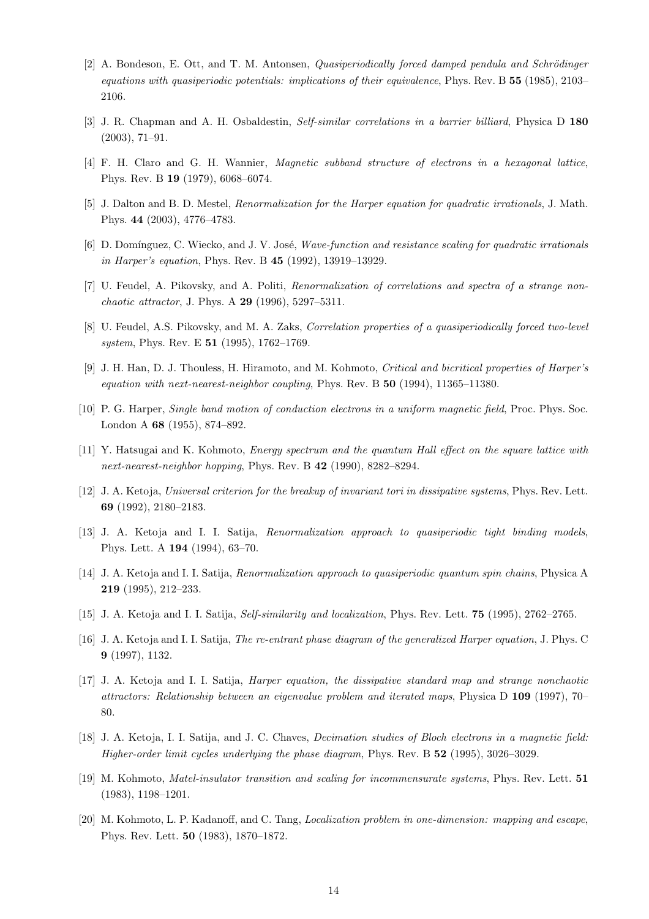- [2] A. Bondeson, E. Ott, and T. M. Antonsen, *Quasiperiodically forced damped pendula and Schrödinger* equations with quasiperiodic potentials: implications of their equivalence, Phys. Rev. B 55 (1985), 2103– 2106.
- [3] J. R. Chapman and A. H. Osbaldestin, Self-similar correlations in a barrier billiard, Physica D 180 (2003), 71–91.
- [4] F. H. Claro and G. H. Wannier, Magnetic subband structure of electrons in a hexagonal lattice, Phys. Rev. B 19 (1979), 6068–6074.
- [5] J. Dalton and B. D. Mestel, Renormalization for the Harper equation for quadratic irrationals, J. Math. Phys. 44 (2003), 4776–4783.
- [6] D. Domínguez, C. Wiecko, and J. V. José, Wave-function and resistance scaling for quadratic irrationals in Harper's equation, Phys. Rev. B 45 (1992), 13919–13929.
- [7] U. Feudel, A. Pikovsky, and A. Politi, Renormalization of correlations and spectra of a strange nonchaotic attractor, J. Phys. A 29 (1996), 5297–5311.
- [8] U. Feudel, A.S. Pikovsky, and M. A. Zaks, *Correlation properties of a quasiperiodically forced two-level* system, Phys. Rev. E **51** (1995), 1762–1769.
- [9] J. H. Han, D. J. Thouless, H. Hiramoto, and M. Kohmoto, Critical and bicritical properties of Harper's equation with next-nearest-neighbor coupling, Phys. Rev. B 50 (1994), 11365–11380.
- [10] P. G. Harper, Single band motion of conduction electrons in a uniform magnetic field, Proc. Phys. Soc. London A 68 (1955), 874–892.
- [11] Y. Hatsugai and K. Kohmoto, Energy spectrum and the quantum Hall effect on the square lattice with next-nearest-neighbor hopping, Phys. Rev. B 42 (1990), 8282-8294.
- [12] J. A. Ketoja, Universal criterion for the breakup of invariant tori in dissipative systems, Phys. Rev. Lett. 69 (1992), 2180–2183.
- [13] J. A. Ketoja and I. I. Satija, Renormalization approach to quasiperiodic tight binding models, Phys. Lett. A 194 (1994), 63–70.
- [14] J. A. Ketoja and I. I. Satija, Renormalization approach to quasiperiodic quantum spin chains, Physica A 219 (1995), 212–233.
- [15] J. A. Ketoja and I. I. Satija, Self-similarity and localization, Phys. Rev. Lett. 75 (1995), 2762–2765.
- [16] J. A. Ketoja and I. I. Satija, The re-entrant phase diagram of the generalized Harper equation, J. Phys. C 9 (1997), 1132.
- [17] J. A. Ketoja and I. I. Satija, Harper equation, the dissipative standard map and strange nonchaotic attractors: Relationship between an eigenvalue problem and iterated maps, Physica D 109 (1997), 70– 80.
- [18] J. A. Ketoja, I. I. Satija, and J. C. Chaves, Decimation studies of Bloch electrons in a magnetic field: Higher-order limit cycles underlying the phase diagram, Phys. Rev. B 52 (1995), 3026–3029.
- [19] M. Kohmoto, Matel-insulator transition and scaling for incommensurate systems, Phys. Rev. Lett. 51 (1983), 1198–1201.
- [20] M. Kohmoto, L. P. Kadanoff, and C. Tang, *Localization problem in one-dimension: mapping and escape*, Phys. Rev. Lett. 50 (1983), 1870–1872.